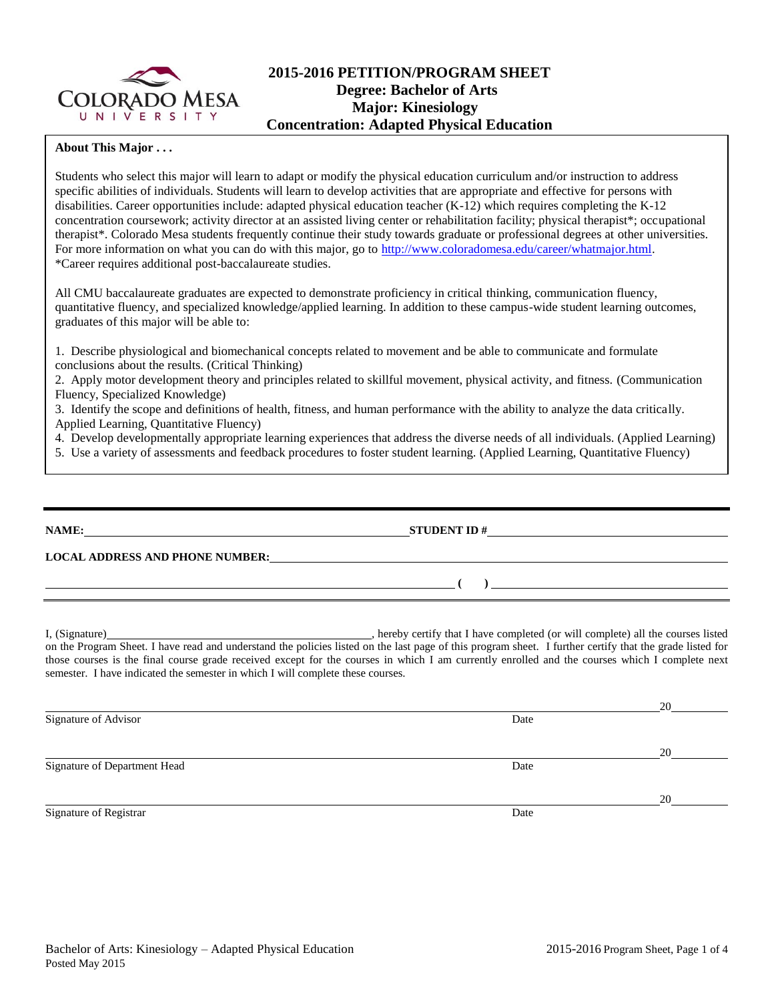

## **2015-2016 PETITION/PROGRAM SHEET Degree: Bachelor of Arts Major: Kinesiology Concentration: Adapted Physical Education**

#### **About This Major . . .**

Students who select this major will learn to adapt or modify the physical education curriculum and/or instruction to address specific abilities of individuals. Students will learn to develop activities that are appropriate and effective for persons with disabilities. Career opportunities include: adapted physical education teacher (K-12) which requires completing the K-12 concentration coursework; activity director at an assisted living center or rehabilitation facility; physical therapist\*; occupational therapist\*. Colorado Mesa students frequently continue their study towards graduate or professional degrees at other universities. For more information on what you can do with this major, go to [http://www.coloradomesa.edu/career/whatmajor.html.](http://www.coloradomesa.edu/career/whatmajor.html) \*Career requires additional post-baccalaureate studies.

All CMU baccalaureate graduates are expected to demonstrate proficiency in critical thinking, communication fluency, quantitative fluency, and specialized knowledge/applied learning. In addition to these campus-wide student learning outcomes, graduates of this major will be able to:

1. Describe physiological and biomechanical concepts related to movement and be able to communicate and formulate conclusions about the results. (Critical Thinking)

2. Apply motor development theory and principles related to skillful movement, physical activity, and fitness. (Communication Fluency, Specialized Knowledge)

3. Identify the scope and definitions of health, fitness, and human performance with the ability to analyze the data critically. Applied Learning, Quantitative Fluency)

4. Develop developmentally appropriate learning experiences that address the diverse needs of all individuals. (Applied Learning)

5. Use a variety of assessments and feedback procedures to foster student learning. (Applied Learning, Quantitative Fluency)

| NAME:                                  | <b>STUDENT ID#</b> |
|----------------------------------------|--------------------|
| <b>LOCAL ADDRESS AND PHONE NUMBER:</b> |                    |
|                                        |                    |
|                                        |                    |

I, (Signature) **Source 2008** (Signature) **, hereby certify that I have completed** (or will complete) all the courses listed on the Program Sheet. I have read and understand the policies listed on the last page of this program sheet. I further certify that the grade listed for those courses is the final course grade received except for the courses in which I am currently enrolled and the courses which I complete next semester. I have indicated the semester in which I will complete these courses.

|                              |      | 20 |
|------------------------------|------|----|
| Signature of Advisor         | Date |    |
|                              |      | 20 |
| Signature of Department Head | Date |    |
|                              |      | 20 |
| Signature of Registrar       | Date |    |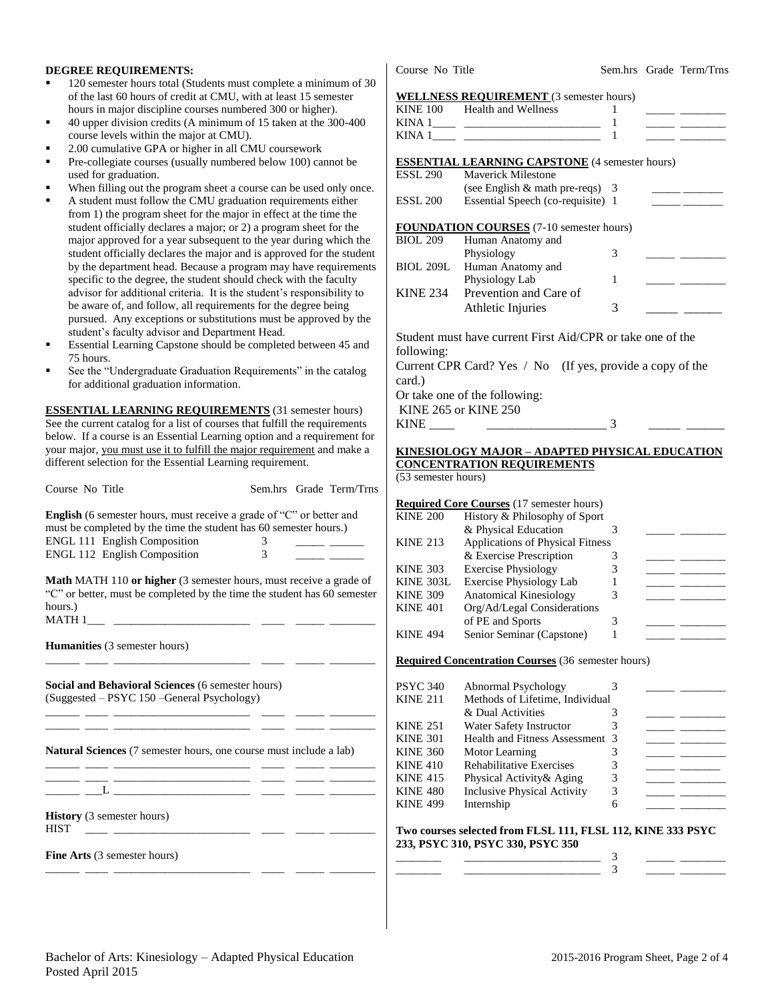#### **DEGREE REQUIREMENTS:**

- 120 semester hours total (Students must complete a minimum of 30 of the last 60 hours of credit at CMU, with at least 15 semester hours in major discipline courses numbered 300 or higher).
- 40 upper division credits (A minimum of 15 taken at the 300-400 course levels within the major at CMU).
- 2.00 cumulative GPA or higher in all CMU coursework
- Pre-collegiate courses (usually numbered below 100) cannot be used for graduation.
- When filling out the program sheet a course can be used only once.
- A student must follow the CMU graduation requirements either from 1) the program sheet for the major in effect at the time the student officially declares a major; or 2) a program sheet for the major approved for a year subsequent to the year during which the student officially declares the major and is approved for the student by the department head. Because a program may have requirements specific to the degree, the student should check with the faculty advisor for additional criteria. It is the student's responsibility to be aware of, and follow, all requirements for the degree being pursued. Any exceptions or substitutions must be approved by the student's faculty advisor and Department Head.
- Essential Learning Capstone should be completed between 45 and 75 hours.
- See the "Undergraduate Graduation Requirements" in the catalog for additional graduation information.

**ESSENTIAL LEARNING REQUIREMENTS** (31 semester hours) See the current catalog for a list of courses that fulfill the requirements below. If a course is an Essential Learning option and a requirement for your major, you must use it to fulfill the major requirement and make a different selection for the Essential Learning requirement.

| Course No Title                                                                                                                                                                                                         | Sem.hrs Grade Term/Trns |
|-------------------------------------------------------------------------------------------------------------------------------------------------------------------------------------------------------------------------|-------------------------|
| <b>English</b> (6 semester hours, must receive a grade of "C" or better and<br>must be completed by the time the student has 60 semester hours.)<br><b>ENGL 111 English Composition</b><br>ENGL 112 English Composition |                         |
| <b>Math MATH 110 or higher</b> (3 semester hours, must receive a grade of<br>"C" or better, must be completed by the time the student has 60 semester<br>hours.)<br>MATH 1                                              |                         |
| <b>Humanities</b> (3 semester hours)                                                                                                                                                                                    |                         |

\_\_\_\_\_\_ \_\_\_\_ \_\_\_\_\_\_\_\_\_\_\_\_\_\_\_\_\_\_\_\_\_\_\_\_ \_\_\_\_ \_\_\_\_\_ \_\_\_\_\_\_\_\_

\_\_\_\_\_\_ \_\_\_\_ \_\_\_\_\_\_\_\_\_\_\_\_\_\_\_\_\_\_\_\_\_\_\_\_ \_\_\_\_ \_\_\_\_\_ \_\_\_\_\_\_\_\_ \_\_\_\_\_\_ \_\_\_\_ \_\_\_\_\_\_\_\_\_\_\_\_\_\_\_\_\_\_\_\_\_\_\_\_ \_\_\_\_ \_\_\_\_\_ \_\_\_\_\_\_\_\_

\_\_\_\_\_\_ \_\_\_\_ \_\_\_\_\_\_\_\_\_\_\_\_\_\_\_\_\_\_\_\_\_\_\_\_ \_\_\_\_ \_\_\_\_\_ \_\_\_\_\_\_\_\_

**Social and Behavioral Sciences** (6 semester hours) (Suggested – PSYC 150 –General Psychology)

**Natural Sciences** (7 semester hours, one course must include a lab)

\_\_\_\_\_\_ \_\_\_\_ \_\_\_\_\_\_\_\_\_\_\_\_\_\_\_\_\_\_\_\_\_\_\_\_ \_\_\_\_ \_\_\_\_\_ \_\_\_\_\_\_\_\_ \_\_\_\_\_\_ \_\_\_L \_\_\_\_\_\_\_\_\_\_\_\_\_\_\_\_\_\_\_\_\_\_\_\_ \_\_\_\_ \_\_\_\_\_ \_\_\_\_\_\_\_\_

**History** (3 semester hours)  $HIST \quad \_\_\_\_\_\_\_$ 

**Fine Arts** (3 semester hours) \_\_\_\_\_\_ \_\_\_\_ \_\_\_\_\_\_\_\_\_\_\_\_\_\_\_\_\_\_\_\_\_\_\_\_ \_\_\_\_ \_\_\_\_\_ \_\_\_\_\_\_\_\_

Course No Title Sem.hrs Grade Term/Trns

#### **WELLNESS REQUIREMENT** (3 semester hours)

|                        | <u>WELENESS REQUIREMENT</u> (3 SUINSIN HOURS)                                                                           |   |                                           |
|------------------------|-------------------------------------------------------------------------------------------------------------------------|---|-------------------------------------------|
|                        | KINE 100 Health and Wellness                                                                                            | 1 |                                           |
|                        |                                                                                                                         | 1 |                                           |
|                        |                                                                                                                         | 1 |                                           |
|                        | <b>ESSENTIAL LEARNING CAPSTONE</b> (4 semester hours)                                                                   |   |                                           |
|                        | <b>ESSL 290</b> Maverick Milestone                                                                                      |   |                                           |
|                        | (see English $&$ math pre-reqs) 3                                                                                       |   |                                           |
| <b>ESSL 200</b>        | Essential Speech (co-requisite) 1                                                                                       |   | <u> 1980 - John Harrison, mars et al.</u> |
|                        | <b>FOUNDATION COURSES</b> (7-10 semester hours)                                                                         |   |                                           |
| <b>BIOL 209</b>        | Human Anatomy and                                                                                                       |   |                                           |
|                        | Physiology                                                                                                              | 3 |                                           |
| BIOL 209L              | Human Anatomy and                                                                                                       |   |                                           |
|                        | Physiology Lab                                                                                                          | 1 |                                           |
| <b>KINE 234</b>        | Prevention and Care of                                                                                                  |   |                                           |
|                        | Athletic Injuries                                                                                                       | 3 |                                           |
| following:<br>card.)   | Student must have current First Aid/CPR or take one of the<br>Current CPR Card? Yes / No (If yes, provide a copy of the |   |                                           |
|                        | Or take one of the following:                                                                                           |   |                                           |
|                        | <b>KINE 265 or KINE 250</b>                                                                                             |   |                                           |
| $KINE$ <sub>____</sub> |                                                                                                                         | 3 |                                           |
|                        | the contract of the contract of the contract of the contract of the contract of                                         |   |                                           |
|                        | KINESIOLOGY MAJOR - ADAPTED PHYSICAL EDUCATION                                                                          |   |                                           |
|                        | <b>CONCENTRATION REQUIREMENTS</b>                                                                                       |   |                                           |
| (53 semester hours)    |                                                                                                                         |   |                                           |
|                        |                                                                                                                         |   |                                           |
|                        | <b>Required Core Courses</b> (17 semester hours)                                                                        |   |                                           |
| <b>KINE 200</b>        | History & Philosophy of Sport                                                                                           |   |                                           |

| <b>KINE 200</b> | History & Philosophy of Sport    |   |  |
|-----------------|----------------------------------|---|--|
|                 | & Physical Education             |   |  |
| <b>KINE 213</b> | Applications of Physical Fitness |   |  |
|                 | & Exercise Prescription          |   |  |
| <b>KINE 303</b> | <b>Exercise Physiology</b>       | 3 |  |
| KINE 303L       | <b>Exercise Physiology Lab</b>   |   |  |
| <b>KINE 309</b> | <b>Anatomical Kinesiology</b>    | 3 |  |
| <b>KINE 401</b> | Org/Ad/Legal Considerations      |   |  |
|                 | of PE and Sports                 | ٦ |  |
| <b>KINE 494</b> | Senior Seminar (Capstone)        |   |  |
|                 |                                  |   |  |

**Required Concentration Courses** (36 semester hours)

| PSYC 340        | Abnormal Psychology                |   |  |
|-----------------|------------------------------------|---|--|
| <b>KINE 211</b> | Methods of Lifetime, Individual    |   |  |
|                 | & Dual Activities                  |   |  |
| <b>KINE 251</b> | Water Safety Instructor            |   |  |
| <b>KINE 301</b> | Health and Fitness Assessment 3    |   |  |
| <b>KINE 360</b> | Motor Learning                     |   |  |
| <b>KINE 410</b> | <b>Rehabilitative Exercises</b>    | 3 |  |
| <b>KINE 415</b> | Physical Activity & Aging          | 3 |  |
| <b>KINE 480</b> | <b>Inclusive Physical Activity</b> | 3 |  |
| <b>KINE 499</b> | Internship                         | 6 |  |
|                 |                                    |   |  |

**Two courses selected from FLSL 111, FLSL 112, KINE 333 PSYC 233, PSYC 310, PSYC 330, PSYC 350** \_\_\_\_\_\_\_\_ \_\_\_\_\_\_\_\_\_\_\_\_\_\_\_\_\_\_\_\_\_\_\_\_ 3 \_\_\_\_\_ \_\_\_\_\_\_\_\_

\_\_\_\_\_\_\_\_ \_\_\_\_\_\_\_\_\_\_\_\_\_\_\_\_\_\_\_\_\_\_\_\_ 3 \_\_\_\_\_ \_\_\_\_\_\_\_\_

Bachelor of Arts: Kinesiology – Adapted Physical Education 2015-2016 Program Sheet, Page 2 of 4 Posted April 2015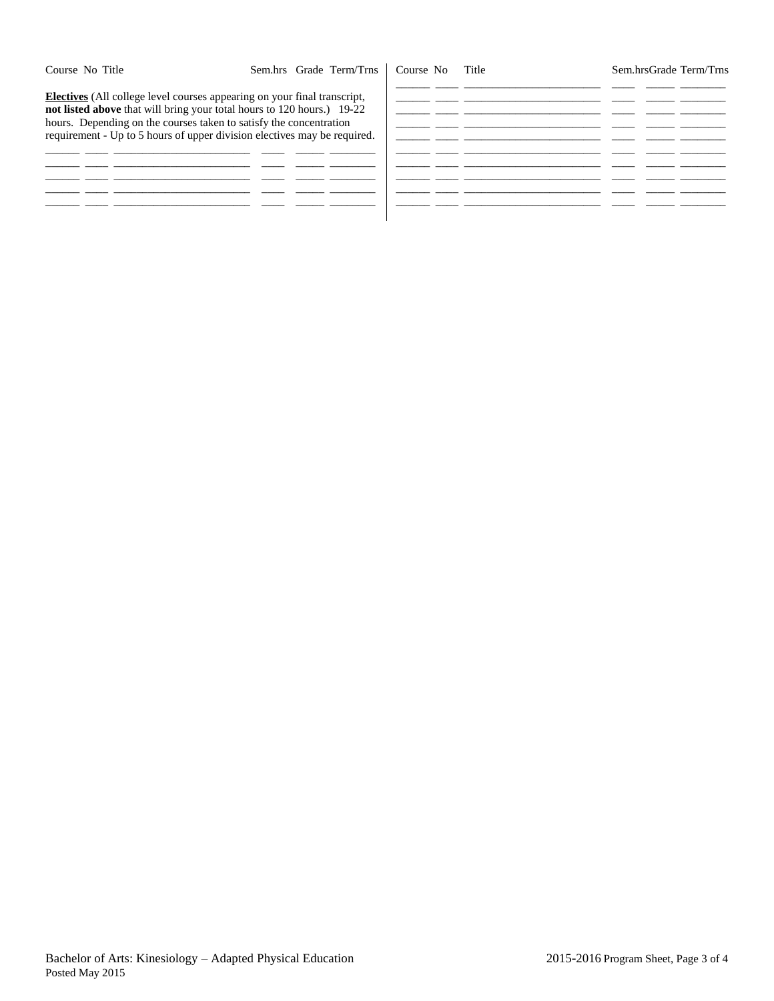Course No Title Sem.hrsGrade Term/Trns

**Electives** (All college level courses appearing on your final transcript, **not listed above** that will bring your total hours to 120 hours.) 19-22 hours. Depending on the courses taken to satisfy the concentration requirement - Up to 5 hours of upper division electives may be required.

|        | - -    |  |
|--------|--------|--|
|        |        |  |
|        |        |  |
| ______ | ______ |  |
|        |        |  |
|        |        |  |
|        |        |  |
|        |        |  |
|        |        |  |
|        |        |  |